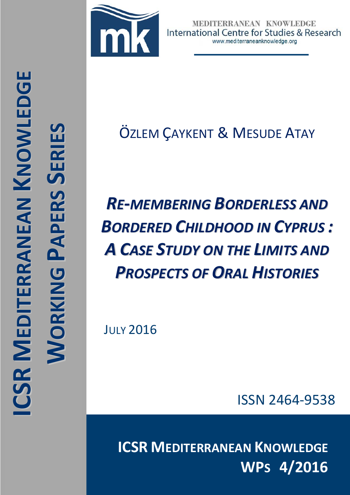

MEDITERRANEAN KNOWLEDGE International Centre for Studies & Research www.mediterraneanknowledge.org

## **N I N G P A** <u>م</u> **E R** <u> ဟ</u> <u> ဟ</u> **E R I E S**

**OZLEM ÇAYKENT & MESUDE ATAY** 

# *RE-MEMBERING BORDERLESS AND BORDERED CHILDHOOD IN CYPRUS : A CASE STUDY ON THE LIMITS AND PROSPECTS OF ORAL HISTORIES*

**JULY 2016** 

ISSN 2464-9538

**ICSR MEDITERRANEAN KNOWLEDGE WPS 4/2016**

**O**

**R**

**K I**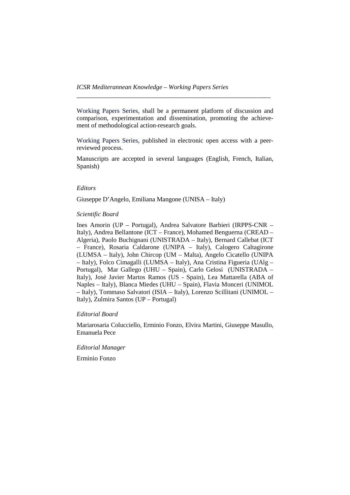Working Papers Series, shall be a permanent platform of discussion and comparison, experimentation and dissemination, promoting the achievement of methodological action-research goals.

\_\_\_\_\_\_\_\_\_\_\_\_\_\_\_\_\_\_\_\_\_\_\_\_\_\_\_\_\_\_\_\_\_\_\_\_\_\_\_\_\_\_\_\_\_\_\_\_\_\_\_\_\_\_\_

Working Papers Series, published in electronic open access with a peerreviewed process.

Manuscripts are accepted in several languages (English, French, Italian, Spanish)

#### *Editors*

Giuseppe D'Angelo, Emiliana Mangone (UNISA – Italy)

#### *Scientific Board*

Ines Amorin (UP – Portugal), Andrea Salvatore Barbieri (IRPPS-CNR – Italy), Andrea Bellantone (ICT – France)*,* Mohamed Benguerna (CREAD – Algeria), Paolo Buchignani (UNISTRADA – Italy), Bernard Callebat (ICT – France), Rosaria Caldarone (UNIPA – Italy), Calogero Caltagirone (LUMSA – Italy), John Chircop (UM – Malta), Angelo Cicatello (UNIPA – Italy), Folco Cimagalli (LUMSA – Italy), Ana Cristina Figueria (UAlg – Portugal), Mar Gallego (UHU – Spain), Carlo Gelosi (UNISTRADA – Italy), José Javier Martos Ramos (US - Spain), Lea Mattarella (ABA of Naples – Italy), Blanca Miedes (UHU – Spain), Flavia Monceri (UNIMOL – Italy), Tommaso Salvatori (ISIA – Italy), Lorenzo Scillitani (UNIMOL – Italy), Zulmira Santos (UP – Portugal)

#### *Editorial Board*

Mariarosaria Colucciello, Erminio Fonzo, Elvira Martini, Giuseppe Masullo, Emanuela Pece

*Editorial Manager*

Erminio Fonzo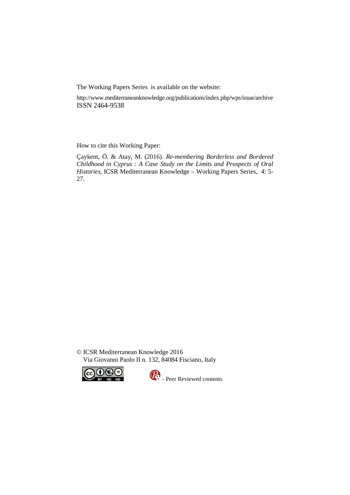The Working Papers Series is available on the website:

http://www.mediterraneanknowledge.org/publications/index.php/wps/issue/archive ISSN 2464-9538

How to cite this Working Paper:

Çaykent, Ö. & Atay, M. (2016). *Re-membering Borderless and Bordered Childhood in Cyprus : A Case Study on the Limits and Prospects of Oral Histories,* ICSR Mediterranean Knowledge – Working Papers Series, 4: 5- 27.

© ICSR Mediterranean Knowledge 2016 Via Giovanni Paolo II n. 132, 84084 Fisciano, Italy



Peer Reviewed contents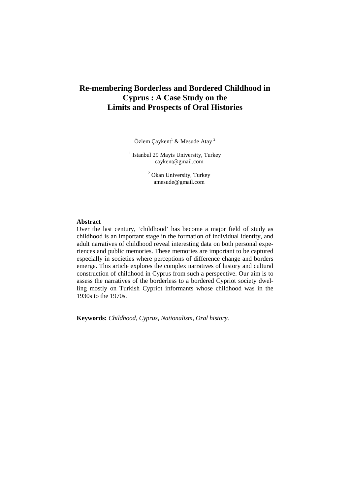## **Re-membering Borderless and Bordered Childhood in Cyprus : A Case Study on the Limits and Prospects of Oral Histories**

Özlem Çaykent<sup>1</sup> & Mesude Atay<sup>2</sup>

<sup>1</sup> Istanbul 29 Mayis University, Turkey [caykent@gmail.com](mailto:caykent@gmail.com)

> <sup>2</sup> Okan University, Turkey [amesude@gmail.com](mailto:amesude@gmail.com)

## **Abstract**

Over the last century, 'childhood' has become a major field of study as childhood is an important stage in the formation of individual identity, and adult narratives of childhood reveal interesting data on both personal experiences and public memories. These memories are important to be captured especially in societies where perceptions of difference change and borders emerge. This article explores the complex narratives of history and cultural construction of childhood in Cyprus from such a perspective. Our aim is to assess the narratives of the borderless to a bordered Cypriot society dwelling mostly on Turkish Cypriot informants whose childhood was in the 1930s to the 1970s.

**Keywords:** *Childhood, Cyprus, Nationalism, Oral history.*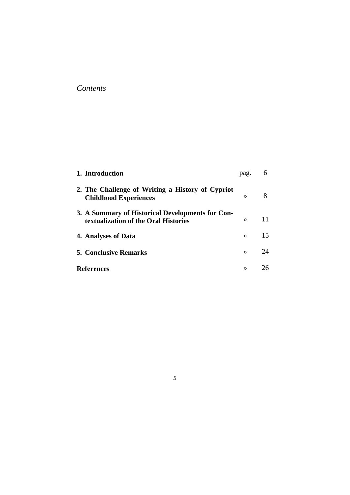## *Contents*

| 1. Introduction                                                                          | pag.          | 6  |
|------------------------------------------------------------------------------------------|---------------|----|
| 2. The Challenge of Writing a History of Cypriot<br><b>Childhood Experiences</b>         | $\rightarrow$ | 8  |
| 3. A Summary of Historical Developments for Con-<br>textualization of the Oral Histories | $\rightarrow$ | 11 |
| 4. Analyses of Data                                                                      | $\rightarrow$ | 15 |
| <b>5. Conclusive Remarks</b>                                                             | $\rightarrow$ | 24 |
| <b>References</b>                                                                        | $\rightarrow$ | 26 |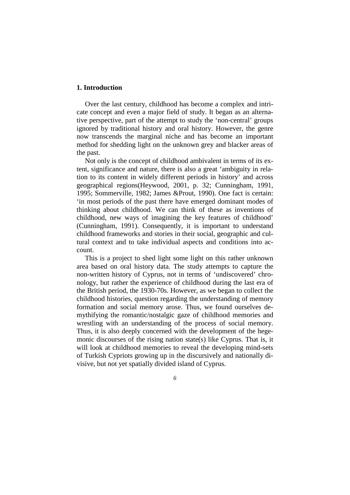## **1. Introduction**

Over the last century, childhood has become a complex and intricate concept and even a major field of study. It began as an alternative perspective, part of the attempt to study the 'non-central' groups ignored by traditional history and oral history. However, the genre now transcends the marginal niche and has become an important method for shedding light on the unknown grey and blacker areas of the past.

Not only is the concept of childhood ambivalent in terms of its extent, significance and nature, there is also a great 'ambiguity in relation to its content in widely different periods in history' and across geographical regions(Heywood, 2001, p. 32; Cunningham, 1991, 1995; Sommerville, 1982; James &Prout, 1990). One fact is certain: 'in most periods of the past there have emerged dominant modes of thinking about childhood. We can think of these as inventions of childhood, new ways of imagining the key features of childhood' (Cunningham, 1991). Consequently, it is important to understand childhood frameworks and stories in their social, geographic and cultural context and to take individual aspects and conditions into account.

This is a project to shed light some light on this rather unknown area based on oral history data. The study attempts to capture the non-written history of Cyprus, not in terms of 'undiscovered' chronology, but rather the experience of childhood during the last era of the British period, the 1930-70s. However, as we began to collect the childhood histories, question regarding the understanding of memory formation and social memory arose. Thus, we found ourselves demythifying the romantic/nostalgic gaze of childhood memories and wrestling with an understanding of the process of social memory. Thus, it is also deeply concerned with the development of the hegemonic discourses of the rising nation state(s) like Cyprus. That is, it will look at childhood memories to reveal the developing mind-sets of Turkish Cypriots growing up in the discursively and nationally divisive, but not yet spatially divided island of Cyprus.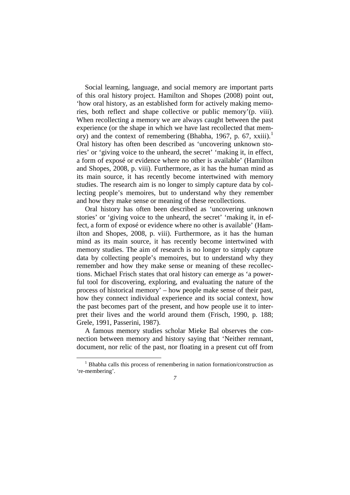Social learning, language, and social memory are important parts of this oral history project. Hamilton and Shopes (2008) point out, 'how oral history, as an established form for actively making memories, both reflect and shape collective or public memory'(p. viii). When recollecting a memory we are always caught between the past experience (or the shape in which we have last recollected that mem-ory) and the context of remembering (Bhabha, [1](#page-8-0)967, p. 67,  $x\ddot{a}$ ).<sup>1</sup> Oral history has often been described as 'uncovering unknown stories' or 'giving voice to the unheard, the secret' 'making it, in effect, a form of exposé or evidence where no other is available' (Hamilton and Shopes, 2008, p. viii). Furthermore, as it has the human mind as its main source, it has recently become intertwined with memory studies. The research aim is no longer to simply capture data by collecting people's memoires, but to understand why they remember and how they make sense or meaning of these recollections.

Oral history has often been described as 'uncovering unknown stories' or 'giving voice to the unheard, the secret' 'making it, in effect, a form of exposé or evidence where no other is available' (Hamilton and Shopes, 2008, p. viii). Furthermore, as it has the human mind as its main source, it has recently become intertwined with memory studies. The aim of research is no longer to simply capture data by collecting people's memoires, but to understand why they remember and how they make sense or meaning of these recollections. Michael Frisch states that oral history can emerge as 'a powerful tool for discovering, exploring, and evaluating the nature of the process of historical memory' – how people make sense of their past, how they connect individual experience and its social context, how the past becomes part of the present, and how people use it to interpret their lives and the world around them (Frisch, 1990, p. 188; Grele, 1991, Passerini, 1987).

A famous memory studies scholar Mieke Bal observes the connection between memory and history saying that 'Neither remnant, document, nor relic of the past, nor floating in a present cut off from

 $\overline{\phantom{a}}$ 

<span id="page-8-0"></span> $1$  Bhabha calls this process of remembering in nation formation/construction as 're-membering'.

*<sup>7</sup>*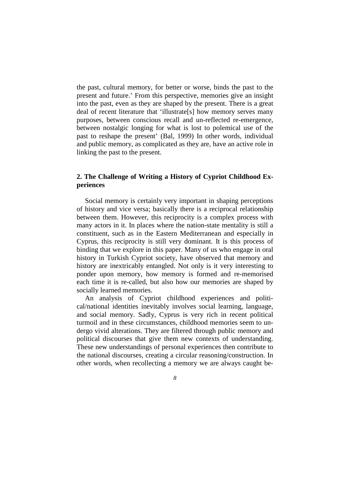the past, cultural memory, for better or worse, binds the past to the present and future.' From this perspective, memories give an insight into the past, even as they are shaped by the present. There is a great deal of recent literature that 'illustrate[s] how memory serves many purposes, between conscious recall and un-reflected re-emergence, between nostalgic longing for what is lost to polemical use of the past to reshape the present' (Bal, 1999) In other words, individual and public memory, as complicated as they are, have an active role in linking the past to the present.

## **2. The Challenge of Writing a History of Cypriot Childhood Experiences**

Social memory is certainly very important in shaping perceptions of history and vice versa; basically there is a reciprocal relationship between them. However, this reciprocity is a complex process with many actors in it. In places where the nation-state mentality is still a constituent, such as in the Eastern Mediterranean and especially in Cyprus, this reciprocity is still very dominant. It is this process of binding that we explore in this paper. Many of us who engage in oral history in Turkish Cypriot society, have observed that memory and history are inextricably entangled. Not only is it very interesting to ponder upon memory, how memory is formed and re-memorised each time it is re-called, but also how our memories are shaped by socially learned memories.

An analysis of Cypriot childhood experiences and political/national identities inevitably involves social learning, language, and social memory. Sadly, Cyprus is very rich in recent political turmoil and in these circumstances, childhood memories seem to undergo vivid alterations. They are filtered through public memory and political discourses that give them new contexts of understanding. These new understandings of personal experiences then contribute to the national discourses, creating a circular reasoning/construction. In other words, when recollecting a memory we are always caught be-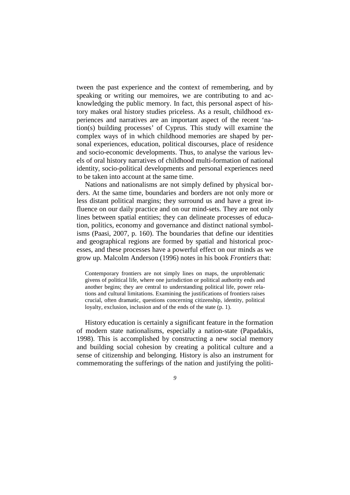tween the past experience and the context of remembering, and by speaking or writing our memoires, we are contributing to and acknowledging the public memory. In fact, this personal aspect of history makes oral history studies priceless. As a result, childhood experiences and narratives are an important aspect of the recent 'nation(s) building processes' of Cyprus. This study will examine the complex ways of in which childhood memories are shaped by personal experiences, education, political discourses, place of residence and socio-economic developments. Thus, to analyse the various levels of oral history narratives of childhood multi-formation of national identity, socio-political developments and personal experiences need to be taken into account at the same time.

Nations and nationalisms are not simply defined by physical borders. At the same time, boundaries and borders are not only more or less distant political margins; they surround us and have a great influence on our daily practice and on our mind-sets. They are not only lines between spatial entities; they can delineate processes of education, politics, economy and governance and distinct national symbolisms (Paasi, 2007, p. 160). The boundaries that define our identities and geographical regions are formed by spatial and historical processes, and these processes have a powerful effect on our minds as we grow up. Malcolm Anderson (1996) notes in his book *Frontiers* that:

Contemporary frontiers are not simply lines on maps, the unproblematic givens of political life, where one jurisdiction or political authority ends and another begins; they are central to understanding political life, power relations and cultural limitations. Examining the justifications of frontiers raises crucial, often dramatic, questions concerning citizenship, identity, political loyalty, exclusion, inclusion and of the ends of the state (p. 1).

History education is certainly a significant feature in the formation of modern state nationalisms, especially a nation-state (Papadakis, 1998). This is accomplished by constructing a new social memory and building social cohesion by creating a political culture and a sense of citizenship and belonging. History is also an instrument for commemorating the sufferings of the nation and justifying the politi-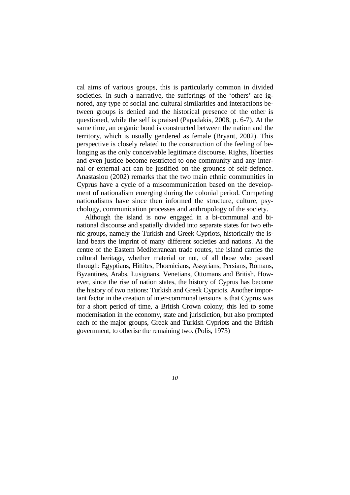cal aims of various groups, this is particularly common in divided societies. In such a narrative, the sufferings of the 'others' are ignored, any type of social and cultural similarities and interactions between groups is denied and the historical presence of the other is questioned, while the self is praised (Papadakis, 2008, p. 6-7). At the same time, an organic bond is constructed between the nation and the territory, which is usually gendered as female (Bryant, 2002). This perspective is closely related to the construction of the feeling of belonging as the only conceivable legitimate discourse. Rights, liberties and even justice become restricted to one community and any internal or external act can be justified on the grounds of self-defence. Anastasiou (2002) remarks that the two main ethnic communities in Cyprus have a cycle of a miscommunication based on the development of nationalism emerging during the colonial period. Competing nationalisms have since then informed the structure, culture, psychology, communication processes and anthropology of the society.

Although the island is now engaged in a bi-communal and binational discourse and spatially divided into separate states for two ethnic groups, namely the Turkish and Greek Cypriots, historically the island bears the imprint of many different societies and nations. At the centre of the Eastern Mediterranean trade routes, the island carries the cultural heritage, whether material or not, of all those who passed through: Egyptians, Hittites, Phoenicians, Assyrians, Persians, Romans, Byzantines, Arabs, Lusignans, Venetians, Ottomans and British. However, since the rise of nation states, the history of Cyprus has become the history of two nations: Turkish and Greek Cypriots. Another important factor in the creation of inter-communal tensions is that Cyprus was for a short period of time, a British Crown colony; this led to some modernisation in the economy, state and jurisdiction, but also prompted each of the major groups, Greek and Turkish Cypriots and the British government, to otherise the remaining two. (Polis, 1973)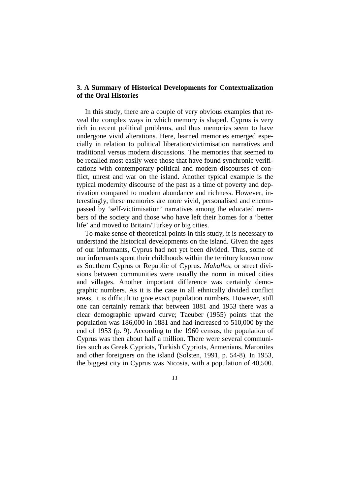## **3. A Summary of Historical Developments for Contextualization of the Oral Histories**

In this study, there are a couple of very obvious examples that reveal the complex ways in which memory is shaped. Cyprus is very rich in recent political problems, and thus memories seem to have undergone vivid alterations. Here, learned memories emerged especially in relation to political liberation/victimisation narratives and traditional versus modern discussions. The memories that seemed to be recalled most easily were those that have found synchronic verifications with contemporary political and modern discourses of conflict, unrest and war on the island. Another typical example is the typical modernity discourse of the past as a time of poverty and deprivation compared to modern abundance and richness. However, interestingly, these memories are more vivid, personalised and encompassed by 'self-victimisation' narratives among the educated members of the society and those who have left their homes for a 'better life' and moved to Britain/Turkey or big cities.

To make sense of theoretical points in this study, it is necessary to understand the historical developments on the island. Given the ages of our informants, Cyprus had not yet been divided. Thus, some of our informants spent their childhoods within the territory known now as Southern Cyprus or Republic of Cyprus. *Mahalles*, or street divisions between communities were usually the norm in mixed cities and villages. Another important difference was certainly demographic numbers. As it is the case in all ethnically divided conflict areas, it is difficult to give exact population numbers. However, still one can certainly remark that between 1881 and 1953 there was a clear demographic upward curve; Taeuber (1955) points that the population was 186,000 in 1881 and had increased to 510,000 by the end of 1953 (p. 9). According to the 1960 census, the population of Cyprus was then about half a million. There were several communities such as Greek Cypriots, Turkish Cypriots, Armenians, Maronites and other foreigners on the island (Solsten, 1991, p. 54-8). In 1953, the biggest city in Cyprus was Nicosia, with a population of 40,500.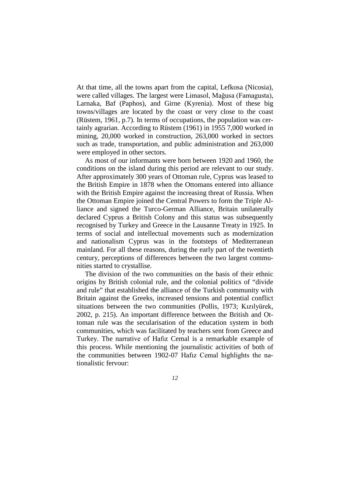At that time, all the towns apart from the capital, Lefkosa (Nicosia), were called villages. The largest were Limasol, Mağusa (Famagusta), Larnaka, Baf (Paphos), and Girne (Kyrenia). Most of these big towns/villages are located by the coast or very close to the coast (Rüstem, 1961, p.7). In terms of occupations, the population was certainly agrarian. According to Rüstem (1961) in 1955 7,000 worked in mining, 20,000 worked in construction, 263,000 worked in sectors such as trade, transportation, and public administration and 263,000 were employed in other sectors.

As most of our informants were born between 1920 and 1960, the conditions on the island during this period are relevant to our study. After approximately 300 years of Ottoman rule, Cyprus was leased to the British Empire in 1878 when the Ottomans entered into alliance with the British Empire against the increasing threat of Russia. When the Ottoman Empire joined the Central Powers to form the Triple Alliance and signed the Turco-German Alliance, Britain unilaterally declared Cyprus a British Colony and this status was subsequently recognised by Turkey and Greece in the Lausanne Treaty in 1925. In terms of social and intellectual movements such as modernization and nationalism Cyprus was in the footsteps of Mediterranean mainland. For all these reasons, during the early part of the twentieth century, perceptions of differences between the two largest communities started to crystallise.

The division of the two communities on the basis of their ethnic origins by British colonial rule, and the colonial politics of "divide and rule" that established the alliance of the Turkish community with Britain against the Greeks, increased tensions and potential conflict situations between the two communities (Pollis, 1973; Kızılyürek, 2002, p. 215). An important difference between the British and Ottoman rule was the secularisation of the education system in both communities, which was facilitated by teachers sent from Greece and Turkey. The narrative of Hafız Cemal is a remarkable example of this process. While mentioning the journalistic activities of both of the communities between 1902-07 Hafız Cemal highlights the nationalistic fervour: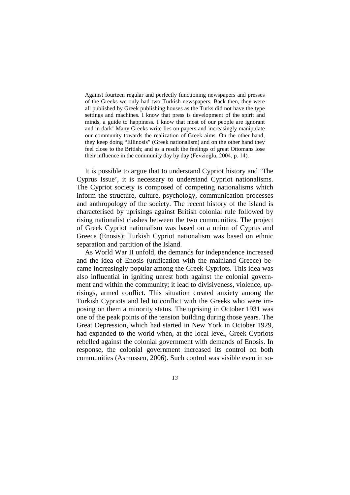Against fourteen regular and perfectly functioning newspapers and presses of the Greeks we only had two Turkish newspapers. Back then, they were all published by Greek publishing houses as the Turks did not have the type settings and machines. I know that press is development of the spirit and minds, a guide to happiness. I know that most of our people are ignorant and in dark! Many Greeks write lies on papers and increasingly manipulate our community towards the realization of Greek aims. On the other hand, they keep doing "Ellinosis" (Greek nationalism) and on the other hand they feel close to the British; and as a result the feelings of great Ottomans lose their influence in the community day by day (Fevzioğlu, 2004, p. 14).

It is possible to argue that to understand Cypriot history and 'The Cyprus Issue', it is necessary to understand Cypriot nationalisms. The Cypriot society is composed of competing nationalisms which inform the structure, culture, psychology, communication processes and anthropology of the society. The recent history of the island is characterised by uprisings against British colonial rule followed by rising nationalist clashes between the two communities. The project of Greek Cypriot nationalism was based on a union of Cyprus and Greece (Enosis); Turkish Cypriot nationalism was based on ethnic separation and partition of the Island.

As World War II unfold, the demands for independence increased and the idea of Enosis (unification with the mainland Greece) became increasingly popular among the Greek Cypriots. This idea was also influential in igniting unrest both against the colonial government and within the community; it lead to divisiveness, violence, uprisings, armed conflict. This situation created anxiety among the Turkish Cypriots and led to conflict with the Greeks who were imposing on them a minority status. The uprising in October 1931 was one of the peak points of the tension building during those years. The Great Depression, which had started in New York in October 1929, had expanded to the world when, at the local level, Greek Cypriots rebelled against the colonial government with demands of Enosis. In response, the colonial government increased its control on both communities (Asmussen, 2006). Such control was visible even in so-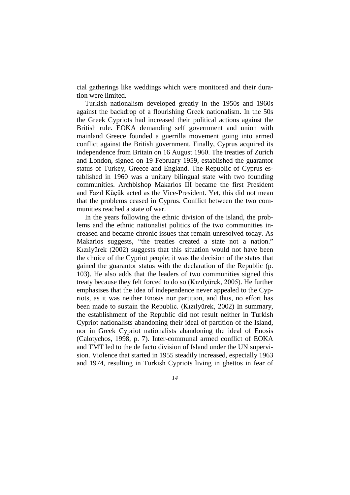cial gatherings like weddings which were monitored and their duration were limited.

Turkish nationalism developed greatly in the 1950s and 1960s against the backdrop of a flourishing Greek nationalism. In the 50s the Greek Cypriots had increased their political actions against the British rule. EOKA demanding self government and union with mainland Greece founded a guerrilla movement going into armed conflict against the British government. Finally, Cyprus acquired its independence from Britain on 16 August 1960. The treaties of Zurich and London, signed on 19 February 1959, established the guarantor status of Turkey, Greece and England. The Republic of Cyprus established in 1960 was a unitary bilingual state with two founding communities. Archbishop Makarios III became the first President and Fazıl Küçük acted as the Vice-President. Yet, this did not mean that the problems ceased in Cyprus. Conflict between the two communities reached a state of war.

In the years following the ethnic division of the island, the problems and the ethnic nationalist politics of the two communities increased and became chronic issues that remain unresolved today. As Makarios suggests, "the treaties created a state not a nation." Kızılyürek (2002) suggests that this situation would not have been the choice of the Cypriot people; it was the decision of the states that gained the guarantor status with the declaration of the Republic (p. 103). He also adds that the leaders of two communities signed this treaty because they felt forced to do so (Kızılyürek, 2005). He further emphasises that the idea of independence never appealed to the Cypriots, as it was neither Enosis nor partition, and thus, no effort has been made to sustain the Republic. (Kızılyürek, 2002) In summary, the establishment of the Republic did not result neither in Turkish Cypriot nationalists abandoning their ideal of partition of the Island, nor in Greek Cypriot nationalists abandoning the ideal of Enosis (Calotychos, 1998, p. 7). Inter-communal armed conflict of EOKA and TMT led to the de facto division of Island under the UN supervision. Violence that started in 1955 steadily increased, especially 1963 and 1974, resulting in Turkish Cypriots living in ghettos in fear of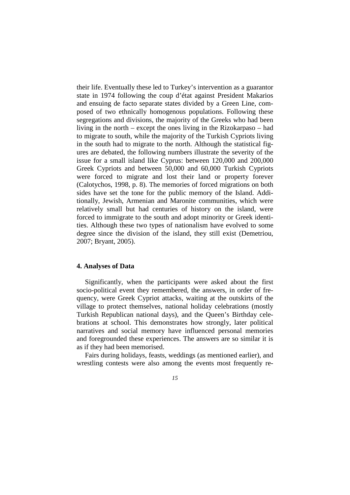their life. Eventually these led to Turkey's intervention as a guarantor state in 1974 following the coup d'état against President Makarios and ensuing de facto separate states divided by a Green Line, composed of two ethnically homogenous populations. Following these segregations and divisions, the majority of the Greeks who had been living in the north – except the ones living in the Rizokarpaso – had to migrate to south, while the majority of the Turkish Cypriots living in the south had to migrate to the north. Although the statistical figures are debated, the following numbers illustrate the severity of the issue for a small island like Cyprus: between 120,000 and 200,000 Greek Cypriots and between 50,000 and 60,000 Turkish Cypriots were forced to migrate and lost their land or property forever (Calotychos, 1998, p. 8). The memories of forced migrations on both sides have set the tone for the public memory of the Island. Additionally, Jewish, Armenian and Maronite communities, which were relatively small but had centuries of history on the island, were forced to immigrate to the south and adopt minority or Greek identities. Although these two types of nationalism have evolved to some degree since the division of the island, they still exist (Demetriou, 2007; Bryant, 2005).

## **4. Analyses of Data**

Significantly, when the participants were asked about the first socio-political event they remembered, the answers, in order of frequency, were Greek Cypriot attacks, waiting at the outskirts of the village to protect themselves, national holiday celebrations (mostly Turkish Republican national days), and the Queen's Birthday celebrations at school. This demonstrates how strongly, later political narratives and social memory have influenced personal memories and foregrounded these experiences. The answers are so similar it is as if they had been memorised.

Fairs during holidays, feasts, weddings (as mentioned earlier), and wrestling contests were also among the events most frequently re-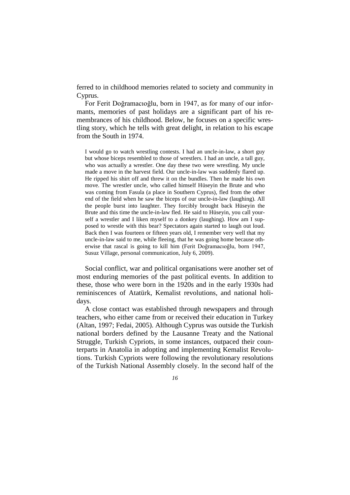ferred to in childhood memories related to society and community in Cyprus.

For Ferit Doğramacıoğlu, born in 1947, as for many of our informants, memories of past holidays are a significant part of his remembrances of his childhood. Below, he focuses on a specific wrestling story, which he tells with great delight, in relation to his escape from the South in 1974.

I would go to watch wrestling contests. I had an uncle-in-law, a short guy but whose biceps resembled to those of wrestlers. I had an uncle, a tall guy, who was actually a wrestler. One day these two were wrestling. My uncle made a move in the harvest field. Our uncle-in-law was suddenly flared up. He ripped his shirt off and threw it on the bundles. Then he made his own move. The wrestler uncle, who called himself Hüseyin the Brute and who was coming from Fasula (a place in Southern Cyprus), fled from the other end of the field when he saw the biceps of our uncle-in-law (laughing). All the people burst into laughter. They forcibly brought back Hüseyin the Brute and this time the uncle-in-law fled. He said to Hüseyin, you call yourself a wrestler and I liken myself to a donkey (laughing). How am I supposed to wrestle with this bear? Spectators again started to laugh out loud. Back then I was fourteen or fifteen years old, I remember very well that my uncle-in-law said to me, while fleeing, that he was going home because otherwise that rascal is going to kill him (Ferit Doğramacıoğlu, born 1947, Susuz Village, personal communication, July 6, 2009).

Social conflict, war and political organisations were another set of most enduring memories of the past political events. In addition to these, those who were born in the 1920s and in the early 1930s had reminiscences of Atatürk, Kemalist revolutions, and national holidays.

A close contact was established through newspapers and through teachers, who either came from or received their education in Turkey (Altan, 1997; Fedai, 2005). Although Cyprus was outside the Turkish national borders defined by the Lausanne Treaty and the National Struggle, Turkish Cypriots, in some instances, outpaced their counterparts in Anatolia in adopting and implementing Kemalist Revolutions. Turkish Cypriots were following the revolutionary resolutions of the Turkish National Assembly closely. In the second half of the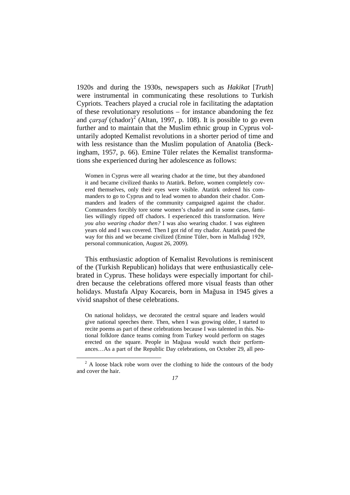1920s and during the 1930s, newspapers such as *Hakikat* [*Truth*] were instrumental in communicating these resolutions to Turkish Cypriots. Teachers played a crucial role in facilitating the adaptation of these revolutionary resolutions – for instance abandoning the fez and *çarşaf* (chador) [2](#page-18-0) (Altan, 1997, p. 108). It is possible to go even further and to maintain that the Muslim ethnic group in Cyprus voluntarily adopted Kemalist revolutions in a shorter period of time and with less resistance than the Muslim population of Anatolia (Beckingham, 1957, p. 66). Emine Tüler relates the Kemalist transformations she experienced during her adolescence as follows:

Women in Cyprus were all wearing chador at the time, but they abandoned it and became civilized thanks to Atatürk. Before, women completely covered themselves, only their eyes were visible. Atatürk ordered his commanders to go to Cyprus and to lead women to abandon their chador. Commanders and leaders of the community campaigned against the chador. Commanders forcibly tore some women's chador and in some cases, families willingly ripped off chadors. I experienced this transformation. *Were you also wearing chador then?* I was also wearing chador. I was eighteen years old and I was covered. Then I got rid of my chador. Atatürk paved the way for this and we became civilized (Emine Tüler, born in Mallıdağ 1929, personal communication, August 26, 2009).

This enthusiastic adoption of Kemalist Revolutions is reminiscent of the (Turkish Republican) holidays that were enthusiastically celebrated in Cyprus. These holidays were especially important for children because the celebrations offered more visual feasts than other holidays. Mustafa Alpay Kocareis, born in Mağusa in 1945 gives a vivid snapshot of these celebrations.

On national holidays, we decorated the central square and leaders would give national speeches there. Then, when I was growing older, I started to recite poems as part of these celebrations because I was talented in this. National folklore dance teams coming from Turkey would perform on stages erected on the square. People in Mağusa would watch their performances…As a part of the Republic Day celebrations, on October 29, all peo-

 $\overline{\phantom{a}}$ 

<span id="page-18-0"></span> $2A$  loose black robe worn over the clothing to hide the contours of the body and cover the hair.

*<sup>17</sup>*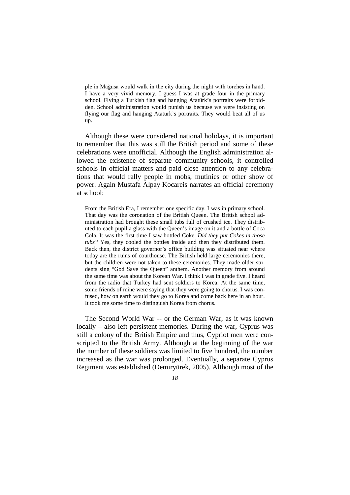ple in Mağusa would walk in the city during the night with torches in hand. I have a very vivid memory. I guess I was at grade four in the primary school. Flying a Turkish flag and hanging Atatürk's portraits were forbidden. School administration would punish us because we were insisting on flying our flag and hanging Atatürk's portraits. They would beat all of us up.

Although these were considered national holidays, it is important to remember that this was still the British period and some of these celebrations were unofficial. Although the English administration allowed the existence of separate community schools, it controlled schools in official matters and paid close attention to any celebrations that would rally people in mobs, mutinies or other show of power. Again Mustafa Alpay Kocareis narrates an official ceremony at school:

From the British Era, I remember one specific day. I was in primary school. That day was the coronation of the British Queen. The British school administration had brought these small tubs full of crushed ice. They distributed to each pupil a glass with the Queen's image on it and a bottle of Coca Cola. It was the first time I saw bottled Coke. *Did they put Cokes in those tubs?* Yes, they cooled the bottles inside and then they distributed them. Back then, the district governor's office building was situated near where today are the ruins of courthouse. The British held large ceremonies there, but the children were not taken to these ceremonies. They made older students sing "God Save the Queen" anthem. Another memory from around the same time was about the Korean War. I think I was in grade five. I heard from the radio that Turkey had sent soldiers to Korea. At the same time, some friends of mine were saying that they were going to chorus. I was confused, how on earth would they go to Korea and come back here in an hour. It took me some time to distinguish Korea from chorus.

The Second World War -- or the German War, as it was known locally – also left persistent memories. During the war, Cyprus was still a colony of the British Empire and thus, Cypriot men were conscripted to the British Army. Although at the beginning of the war the number of these soldiers was limited to five hundred, the number increased as the war was prolonged. Eventually, a separate Cyprus Regiment was established (Demiryürek, 2005). Although most of the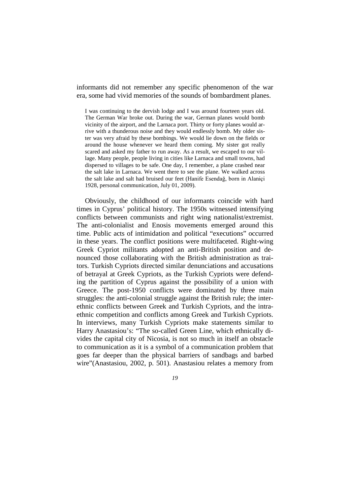informants did not remember any specific phenomenon of the war era, some had vivid memories of the sounds of bombardment planes.

I was continuing to the dervish lodge and I was around fourteen years old. The German War broke out. During the war, German planes would bomb vicinity of the airport, and the Larnaca port. Thirty or forty planes would arrive with a thunderous noise and they would endlessly bomb. My older sister was very afraid by these bombings. We would lie down on the fields or around the house whenever we heard them coming. My sister got really scared and asked my father to run away. As a result, we escaped to our village. Many people, people living in cities like Larnaca and small towns, had dispersed to villages to be safe. One day, I remember, a plane crashed near the salt lake in Larnaca. We went there to see the plane. We walked across the salt lake and salt had bruised our feet (Hanife Esendağ, born in Alaniçi 1928, personal communication, July 01, 2009).

Obviously, the childhood of our informants coincide with hard times in Cyprus' political history. The 1950s witnessed intensifying conflicts between communists and right wing nationalist/extremist. The anti-colonialist and Enosis movements emerged around this time. Public acts of intimidation and political "executions" occurred in these years. The conflict positions were multifaceted. Right-wing Greek Cypriot militants adopted an anti-British position and denounced those collaborating with the British administration as traitors. Turkish Cypriots directed similar denunciations and accusations of betrayal at Greek Cypriots, as the Turkish Cypriots were defending the partition of Cyprus against the possibility of a union with Greece. The post-1950 conflicts were dominated by three main struggles: the anti-colonial struggle against the British rule; the interethnic conflicts between Greek and Turkish Cypriots, and the intraethnic competition and conflicts among Greek and Turkish Cypriots. In interviews, many Turkish Cypriots make statements similar to Harry Anastasiou's: "The so-called Green Line, which ethnically divides the capital city of Nicosia, is not so much in itself an obstacle to communication as it is a symbol of a communication problem that goes far deeper than the physical barriers of sandbags and barbed wire"(Anastasiou, 2002, p. 501). Anastasiou relates a memory from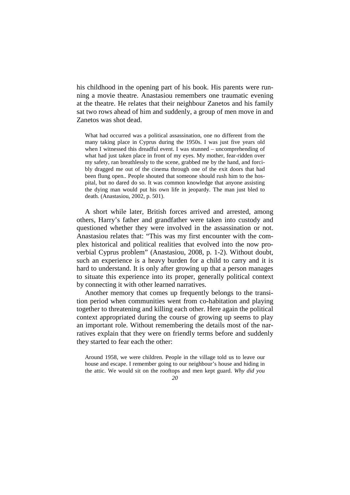his childhood in the opening part of his book. His parents were running a movie theatre. Anastasiou remembers one traumatic evening at the theatre. He relates that their neighbour Zanetos and his family sat two rows ahead of him and suddenly, a group of men move in and Zanetos was shot dead.

What had occurred was a political assassination, one no different from the many taking place in Cyprus during the 1950s. I was just five years old when I witnessed this dreadful event. I was stunned – uncomprehending of what had just taken place in front of my eyes. My mother, fear-ridden over my safety, ran breathlessly to the scene, grabbed me by the hand, and forcibly dragged me out of the cinema through one of the exit doors that had been flung open.. People shouted that someone should rush him to the hospital, but no dared do so. It was common knowledge that anyone assisting the dying man would put his own life in jeopardy. The man just bled to death. (Anastasiou, 2002, p. 501).

A short while later, British forces arrived and arrested, among others, Harry's father and grandfather were taken into custody and questioned whether they were involved in the assassination or not. Anastasiou relates that: "This was my first encounter with the complex historical and political realities that evolved into the now proverbial Cyprus problem" (Anastasiou, 2008, p. 1-2). Without doubt, such an experience is a heavy burden for a child to carry and it is hard to understand. It is only after growing up that a person manages to situate this experience into its proper, generally political context by connecting it with other learned narratives.

Another memory that comes up frequently belongs to the transition period when communities went from co-habitation and playing together to threatening and killing each other. Here again the political context appropriated during the course of growing up seems to play an important role. Without remembering the details most of the narratives explain that they were on friendly terms before and suddenly they started to fear each the other:

Around 1958, we were children. People in the village told us to leave our house and escape. I remember going to our neighbour's house and hiding in the attic. We would sit on the rooftops and men kept guard. *Why did you*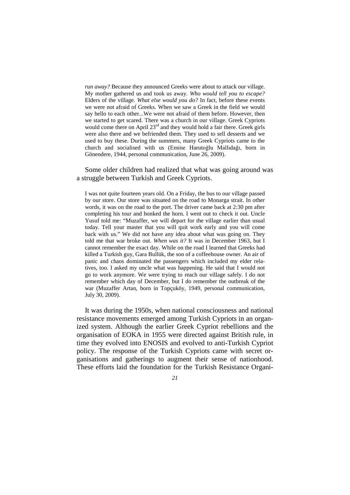*run away?* Because they announced Greeks were about to attack our village. My mother gathered us and took us away. *Who would tell you to escape?* Elders of the village. *What else would you do?* In fact, before these events we were not afraid of Greeks. When we saw a Greek in the field we would say hello to each other...We were not afraid of them before. However, then we started to get scared. There was a church in our village. Greek Cypriots would come there on April 23<sup>rd</sup> and they would hold a fair there. Greek girls were also there and we befriended them. They used to sell desserts and we used to buy these. During the summers, many Greek Cypriots came to the church and socialised with us (Emine Harutoğlu Mallıdağı, born in Gönendere, 1944, personal communication, June 26, 2009).

Some older children had realized that what was going around was a struggle between Turkish and Greek Cypriots.

I was not quite fourteen years old. On a Friday, the bus to our village passed by our store. Our store was situated on the road to Monarga strait. In other words, it was on the road to the port. The driver came back at 2:30 pm after completing his tour and honked the horn. I went out to check it out. Uncle Yusuf told me: "Muzaffer, we will depart for the village earlier than usual today. Tell your master that you will quit work early and you will come back with us." We did not have any idea about what was going on. They told me that war broke out. *When was it?* It was in December 1963, but I cannot remember the exact day. While on the road I learned that Greeks had killed a Turkish guy, Gara Bullük, the son of a coffeehouse owner. An air of panic and chaos dominated the passengers which included my elder relatives, too. I asked my uncle what was happening. He said that I would not go to work anymore. We were trying to reach our village safely. I do not remember which day of December, but I do remember the outbreak of the war (Muzaffer Artan, born in Topçuköy, 1949, personal communication, July 30, 2009).

It was during the 1950s, when national consciousness and national resistance movements emerged among Turkish Cypriots in an organized system. Although the earlier Greek Cypriot rebellions and the organisation of EOKA in 1955 were directed against British rule, in time they evolved into ENOSIS and evolved to anti-Turkish Cypriot policy. The response of the Turkish Cypriots came with secret organisations and gatherings to augment their sense of nationhood. These efforts laid the foundation for the Turkish Resistance Organi-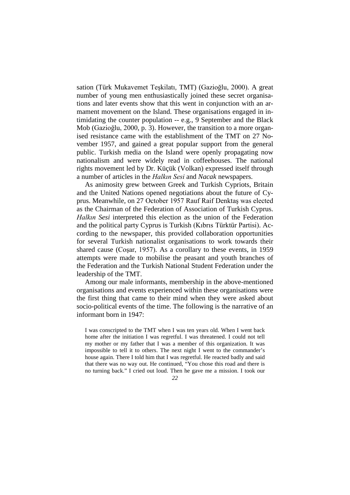sation (Türk Mukavemet Teşkilatı, TMT) (Gazioğlu, 2000). A great number of young men enthusiastically joined these secret organisations and later events show that this went in conjunction with an armament movement on the Island. These organisations engaged in intimidating the counter population -- e.g., 9 September and the Black Mob (Gazioğlu, 2000, p. 3). However, the transition to a more organised resistance came with the establishment of the TMT on 27 November 1957, and gained a great popular support from the general public. Turkish media on the Island were openly propagating now nationalism and were widely read in coffeehouses. The national rights movement led by Dr. Küçük (Volkan) expressed itself through a number of articles in the *Halkın Sesi* and *Nacak* newspapers.

As animosity grew between Greek and Turkish Cypriots, Britain and the United Nations opened negotiations about the future of Cyprus. Meanwhile, on 27 October 1957 Rauf Raif Denktaş was elected as the Chairman of the Federation of Association of Turkish Cyprus. *Halkın Sesi* interpreted this election as the union of the Federation and the political party Cyprus is Turkish (Kıbrıs Türktür Partisi). According to the newspaper, this provided collaboration opportunities for several Turkish nationalist organisations to work towards their shared cause (Coşar, 1957). As a corollary to these events, in 1959 attempts were made to mobilise the peasant and youth branches of the Federation and the Turkish National Student Federation under the leadership of the TMT.

Among our male informants, membership in the above-mentioned organisations and events experienced within these organisations were the first thing that came to their mind when they were asked about socio-political events of the time. The following is the narrative of an informant born in 1947:

I was conscripted to the TMT when I was ten years old. When I went back home after the initiation I was regretful. I was threatened. I could not tell my mother or my father that I was a member of this organization. It was impossible to tell it to others. The next night I went to the commander's house again. There I told him that I was regretful. He reacted badly and said that there was no way out. He continued, "You chose this road and there is no turning back." I cried out loud. Then he gave me a mission. I took our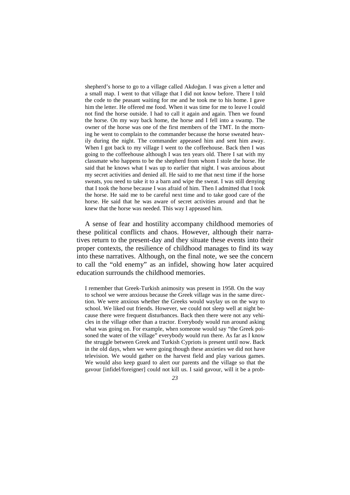shepherd's horse to go to a village called Akdoğan. I was given a letter and a small map. I went to that village that I did not know before. There I told the code to the peasant waiting for me and he took me to his home. I gave him the letter. He offered me food. When it was time for me to leave I could not find the horse outside. I had to call it again and again. Then we found the horse. On my way back home, the horse and I fell into a swamp. The owner of the horse was one of the first members of the TMT. In the morning he went to complain to the commander because the horse sweated heavily during the night. The commander appeased him and sent him away. When I got back to my village I went to the coffeehouse. Back then I was going to the coffeehouse although I was ten years old. There I sat with my classmate who happens to be the shepherd from whom I stole the horse. He said that he knows what I was up to earlier that night. I was anxious about my secret activities and denied all. He said to me that next time if the horse sweats, you need to take it to a barn and wipe the sweat. I was still denying that I took the horse because I was afraid of him. Then I admitted that I took the horse. He said me to be careful next time and to take good care of the horse. He said that he was aware of secret activities around and that he knew that the horse was needed. This way I appeased him.

A sense of fear and hostility accompany childhood memories of these political conflicts and chaos. However, although their narratives return to the present-day and they situate these events into their proper contexts, the resilience of childhood manages to find its way into these narratives. Although, on the final note, we see the concern to call the "old enemy" as an infidel, showing how later acquired education surrounds the childhood memories.

I remember that Greek-Turkish animosity was present in 1958. On the way to school we were anxious because the Greek village was in the same direction. We were anxious whether the Greeks would waylay us on the way to school. We liked out friends. However, we could not sleep well at night because there were frequent disturbances. Back then there were not any vehicles in the village other than a tractor. Everybody would run around asking what was going on. For example, when someone would say "the Greek poisoned the water of the village" everybody would run there. As far as I know the struggle between Greek and Turkish Cypriots is present until now. Back in the old days, when we were going though these anxieties we did not have television. We would gather on the harvest field and play various games. We would also keep guard to alert our parents and the village so that the gavour [infidel/foreigner] could not kill us. I said gavour, will it be a prob-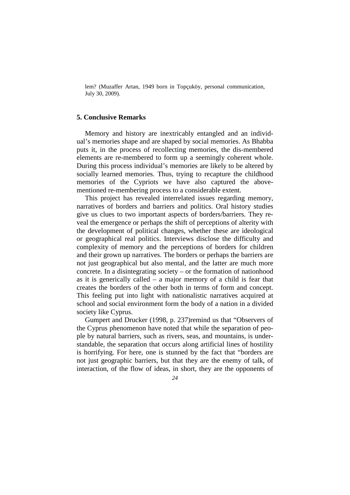lem? (Muzaffer Artan, 1949 born in Topçuköy, personal communication, July 30, 2009).

### **5. Conclusive Remarks**

Memory and history are inextricably entangled and an individual's memories shape and are shaped by social memories. As Bhabba puts it, in the process of recollecting memories, the dis-membered elements are re-membered to form up a seemingly coherent whole. During this process individual's memories are likely to be altered by socially learned memories. Thus, trying to recapture the childhood memories of the Cypriots we have also captured the abovementioned re-membering process to a considerable extent.

This project has revealed interrelated issues regarding memory, narratives of borders and barriers and politics. Oral history studies give us clues to two important aspects of borders/barriers. They reveal the emergence or perhaps the shift of perceptions of alterity with the development of political changes, whether these are ideological or geographical real politics. Interviews disclose the difficulty and complexity of memory and the perceptions of borders for children and their grown up narratives. The borders or perhaps the barriers are not just geographical but also mental, and the latter are much more concrete. In a disintegrating society – or the formation of nationhood as it is generically called – a major memory of a child is fear that creates the borders of the other both in terms of form and concept. This feeling put into light with nationalistic narratives acquired at school and social environment form the body of a nation in a divided society like Cyprus.

Gumpert and Drucker (1998, p. 237)remind us that "Observers of the Cyprus phenomenon have noted that while the separation of people by natural barriers, such as rivers, seas, and mountains, is understandable, the separation that occurs along artificial lines of hostility is horrifying. For here, one is stunned by the fact that "borders are not just geographic barriers, but that they are the enemy of talk, of interaction, of the flow of ideas, in short, they are the opponents of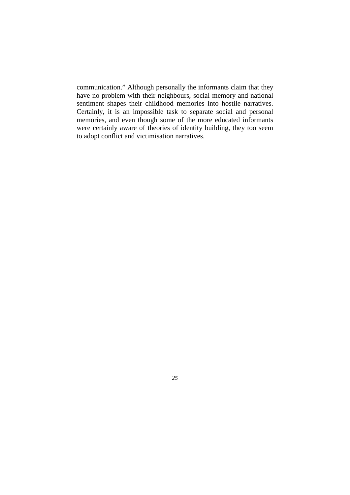communication." Although personally the informants claim that they have no problem with their neighbours, social memory and national sentiment shapes their childhood memories into hostile narratives. Certainly, it is an impossible task to separate social and personal memories, and even though some of the more educated informants were certainly aware of theories of identity building, they too seem to adopt conflict and victimisation narratives.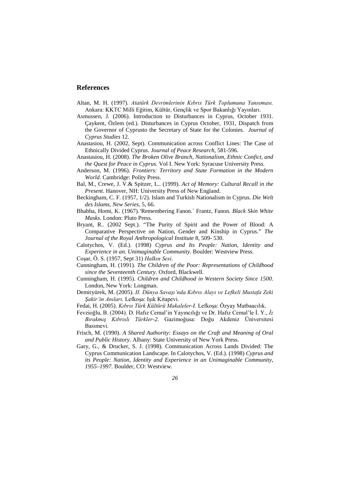#### **References**

- Altan, M. H. (1997). *Atatürk Devrimlerinin Kıbrıs Türk Toplumuna Yansıması.*  Ankara: KKTC Milli Eğitim, Kültür, Gençlik ve Spor Bakanlığı Yayınları.
- Asmussen, J. (2006). Introduction to Disturbances in Cyprus, October 1931. Çaykent, Özlem (ed.). Disturbances in Cyprus October, 1931, Dispatch from the Governor of Cyprusto the Secretary of State for the Colonies*. Journal of Cyprus Studies* 12.
- Anastasiou, H. (2002, Sept). Communication across Conflict Lines: The Case of Ethnically Divided Cyprus. *Journal of Peace Research,* 581-596.
- Anastasiou, H. (2008). *The Broken Olive Branch, Nationalism, Ethnic Confict, and the Quest for Peace in Cyprus.* Vol I. New York: Syracuse University Press.
- Anderson, M. (1996). *Frontiers: Territory and State Formation in the Modern World*. Cambridge: Polity Press.
- Bal, M., Crewe, J. V.& Spitzer, L.. (1999). *Act of Memory: Cultural Recall in the Present*. Hanover, NH: University Press of New England.
- Beckingham, C. F. (1957, 1/2). Islam and Turkish Nationalism in Cyprus. *Die Welt des Islams, New Series,* 5, 66.
- Bhabha, Homi, K*.* (1967).*'*Remembering Fanon.` Frantz, Fanon. *Black Skin White Masks*. London: Pluto Press.
- Bryant, R.. (2002 Sept.). "The Purity of Spirit and the Power of Blood: A Comparative Perspective on Nation, Gender and Kinship in Cyprus." *The Journal of the Royal Anthropological Institute* 8, 509- 530.
- Calotychos, V. (Ed.). (1998) *Cyprus and Its People: Nation, Identity and Experience in an. Unimaginable Community*. Boulder: Westview Press.

Coşar, Ö. S. (1957, Sept 31) *Halkın Sesi*.

- Cunningham, H. (1991). *The Children of the Poor: Representations of Childhood since the Seventeenth Century.* Oxford, Blackwell.
- Cunningham, H. (1995). *Children and Childhood in Western Society Since 1500*. London, New York: Longman.
- Demiryürek, M. (2005). *II. Dünya Savaşı'nda Kıbrıs Alayı ve Lefkeli Mustafa Zeki Şakir'in Anıları*. Lefkoşa: Işık Kitapevi.
- Fedai, H. (2005). *Kıbrıs Türk Kültürü Makaleler-I*. Lefkoşa: Özyay Matbaacılık.
- Fevzioğlu, B. (2004). D. Hafız Cemal'in Yayıncılığı ve Dr. Hafız Cemal'le İ. Y., *İz Bırakmış Kıbrıslı Türkler-2.* Gazimoğusa: Doğu Akdeniz Üniversitesi Basımevi.
- Frisch, M. (1990). *A Shared Authority: Essays on the Craft and Meaning of Oral and Public History*. Albany: State University of New York Press.
- Gary, G., & Drucker, S. J. (1998). Communication Across Lands Divided: The Cyprus Communication Landscape. In Calotychos, V. (Ed.). (1998) *Cyprus and its People: Nation, Identity and Experience in an Unimaginable Community*, *1955–1997.* Boulder, CO: Westview.